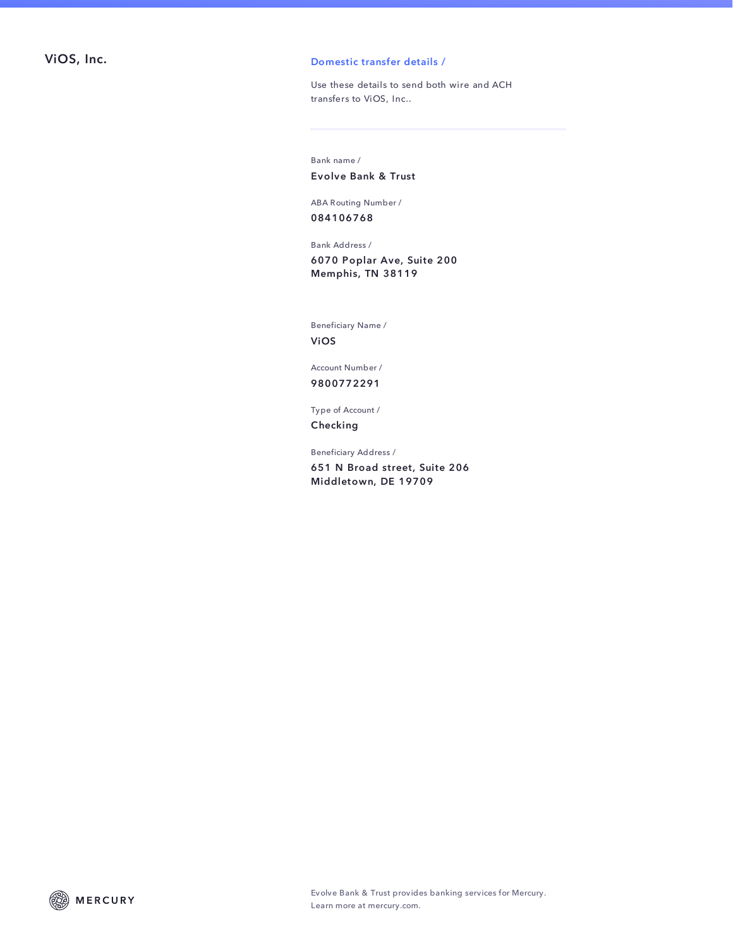## ViOS, Inc. **Domestic transfer details /**

Use these details to send both wire and ACH transfers to ViOS, Inc..

Bank name / Evolve Bank & Trust

ABA Routing Number / 084106768

Bank Address / 6070 Poplar Ave, Suite 200 Memphis, TN 38119

Beneficiary Name / ViOS

Account Number / 9800772291

Type of Account / Checking

Beneficiary Address /

651 N Broad street, Suite 206 Middletown, DE 19709

**MERCURY** (22)

Evolve Bank & Trust provides banking services for Mercury. Learn more at mercury.com.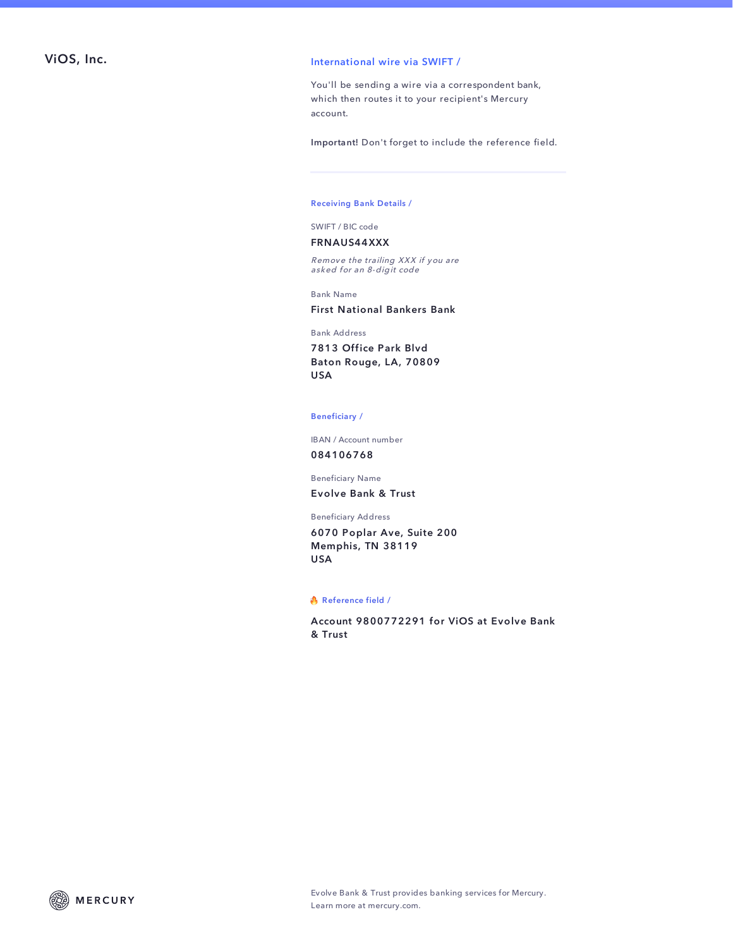## ViOS, Inc. The contractional wire via SWIFT /

You'll be sending a wire via a correspondent bank, which then routes it to your recipient's Mercury account.

Important! Don't forget to include the reference field.

### Receiving Bank Details /

SWIFT / BIC code

### FRNAUS44XXX

Remove the trailing XXX if you are asked for an 8-digit code

Bank Name

### First National Bankers Bank

Bank Address

7813 Office Park Blvd Baton Rouge, LA, 70809 USA

#### Beneficiary /

IBAN / Account number 084106768

Beneficiary Name

Evolve Bank & Trust

#### Beneficiary Address

6070 Poplar Ave, Suite 200 Memphis, TN 38119 USA

#### Reference field /

Account 9800772291 for ViOS at Evolve Bank & Trust